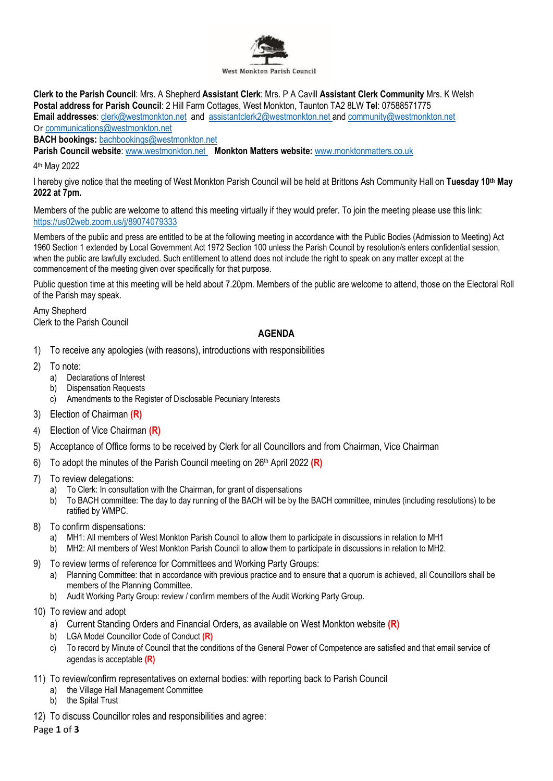

**Clerk to the Parish Council**: Mrs. A Shepherd **Assistant Clerk**: Mrs. P A Cavill **Assistant Clerk Community** Mrs. K Welsh **Postal address for Parish Council**: 2 Hill Farm Cottages, West Monkton, Taunton TA2 8LW **Tel**: 07588571775 **Email addresses**: [clerk@westmonkton.net](mailto:clerk@westmonkton.net) and [assistantclerk2@westmonkton.net](mailto:assistantclerk2@westmonkton.net) an[d community@westmonkton.net](mailto:community@westmonkton.net) Or [communications@westmonkton.net](mailto:communications@westmonkton.net)

**BACH bookings:** [bachbookings@westmonkton.net](mailto:bachbookings@westmonkton.net)

**Parish Council website**: [www.westmonkton.net](http://www.westmonkton.net/) **Monkton Matters website:** [www.monktonmatters.co.uk](http://www.monktonmatters.co.uk/)

4 th May 2022

I hereby give notice that the meeting of West Monkton Parish Council will be held at Brittons Ash Community Hall on **Tuesday 10th May 2022 at 7pm.**

Members of the public are welcome to attend this meeting virtually if they would prefer. To join the meeting please use this link: <https://us02web.zoom.us/j/89074079333>

Members of the public and press are entitled to be at the following meeting in accordance with the Public Bodies (Admission to Meeting) Act 1960 Section 1 extended by Local Government Act 1972 Section 100 unless the Parish Council by resolution/s enters confidential session, when the public are lawfully excluded. Such entitlement to attend does not include the right to speak on any matter except at the commencement of the meeting given over specifically for that purpose.

Public question time at this meeting will be held about 7.20pm. Members of the public are welcome to attend, those on the Electoral Roll of the Parish may speak.

Amy Shepherd Clerk to the Parish Council

# **AGENDA**

- 1) To receive any apologies (with reasons), introductions with responsibilities
- 2) To note:
	- a) Declarations of Interest
	- b) Dispensation Requests
	- c) Amendments to the Register of Disclosable Pecuniary Interests
- 3) Election of Chairman **(R)**
- 4) Election of Vice Chairman **(R)**
- 5) Acceptance of Office forms to be received by Clerk for all Councillors and from Chairman, Vice Chairman
- 6) To adopt the minutes of the Parish Council meeting on 26 th April 2022 **(R)**
- 7) To review delegations:
	- a) To Clerk: In consultation with the Chairman, for grant of dispensations
	- b) To BACH committee: The day to day running of the BACH will be by the BACH committee, minutes (including resolutions) to be ratified by WMPC.
- 8) To confirm dispensations:
	- a) MH1: All members of West Monkton Parish Council to allow them to participate in discussions in relation to MH1
	- b) MH2: All members of West Monkton Parish Council to allow them to participate in discussions in relation to MH2.
- 9) To review terms of reference for Committees and Working Party Groups:
	- a) Planning Committee: that in accordance with previous practice and to ensure that a quorum is achieved, all Councillors shall be members of the Planning Committee.
	- b) Audit Working Party Group: review / confirm members of the Audit Working Party Group.
- 10) To review and adopt
	- a) Current Standing Orders and Financial Orders, as available on West Monkton website **(R)**
	- b) LGA Model Councillor Code of Conduct **(R)**
	- c) To record by Minute of Council that the conditions of the General Power of Competence are satisfied and that email service of agendas is acceptable **(R)**
- 11) To review/confirm representatives on external bodies: with reporting back to Parish Council
	- a) the Village Hall Management Committee
	- b) the Spital Trust
- 12) To discuss Councillor roles and responsibilities and agree:

Page **1** of **3**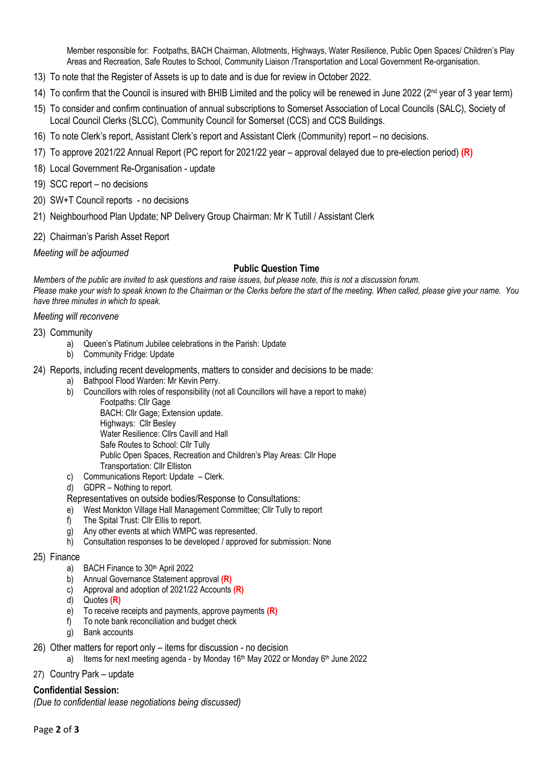Member responsible for: Footpaths, BACH Chairman, Allotments, Highways, Water Resilience, Public Open Spaces/ Children's Play Areas and Recreation, Safe Routes to School, Community Liaison /Transportation and Local Government Re-organisation.

- 13) To note that the Register of Assets is up to date and is due for review in October 2022.
- 14) To confirm that the Council is insured with BHIB Limited and the policy will be renewed in June 2022 (2<sup>nd</sup> year of 3 year term)
- 15) To consider and confirm continuation of annual subscriptions to Somerset Association of Local Councils (SALC), Society of Local Council Clerks (SLCC), Community Council for Somerset (CCS) and CCS Buildings.
- 16) To note Clerk's report, Assistant Clerk's report and Assistant Clerk (Community) report no decisions.
- 17) To approve 2021/22 Annual Report (PC report for 2021/22 year approval delayed due to pre-election period) **(R)**
- 18) Local Government Re-Organisation update
- 19) SCC report no decisions
- 20) SW+T Council reports no decisions
- 21) Neighbourhood Plan Update; NP Delivery Group Chairman: Mr K Tutill / Assistant Clerk
- 22) Chairman's Parish Asset Report

*Meeting will be adjourned*

## **Public Question Time**

*Members of the public are invited to ask questions and raise issues, but please note, this is not a discussion forum. Please make your wish to speak known to the Chairman or the Clerks before the start of the meeting. When called, please give your name. You have three minutes in which to speak.*

#### *Meeting will reconvene*

- 23) Community
	- a) Queen's Platinum Jubilee celebrations in the Parish: Update
	- b) Community Fridge: Update
- 24) Reports, including recent developments, matters to consider and decisions to be made:
	- a) Bathpool Flood Warden: Mr Kevin Perry.
	- b) Councillors with roles of responsibility (not all Councillors will have a report to make)
		- Footpaths: Cllr Gage
			- BACH: Cllr Gage; Extension update. Highways: Cllr Besley Water Resilience: Cllrs Cavill and Hall Safe Routes to School: Cllr Tully Public Open Spaces, Recreation and Children's Play Areas: Cllr Hope Transportation: Cllr Elliston
	- c) Communications Report: Update Clerk.
	- d) GDPR Nothing to report.

### Representatives on outside bodies/Response to Consultations:

- e) West Monkton Village Hall Management Committee; Cllr Tully to report f) The Spital Trust: Cllr Ellis to report.<br>g) Any other events at which WMPC was represented.
- The Spital Trust: Cllr Ellis to report.
- Any other events at which WMPC was represented.
- h) Consultation responses to be developed / approved for submission: None

### 25) Finance

- a) BACH Finance to 30<sup>th</sup> April 2022
- b) Annual Governance Statement approval **(R)**
- c) Approval and adoption of 2021/22 Accounts **(R)**
- d) Quotes **(R)**
- e) To receive receipts and payments, approve payments **(R)**
- f) To note bank reconciliation and budget check
- g) Bank accounts
- 26) Other matters for report only items for discussion no decision
	- a) Items for next meeting agenda by Monday 16<sup>th</sup> May 2022 or Monday 6<sup>th</sup> June 2022
- 27) Country Park update

### **Confidential Session:**

*(Due to confidential lease negotiations being discussed)*